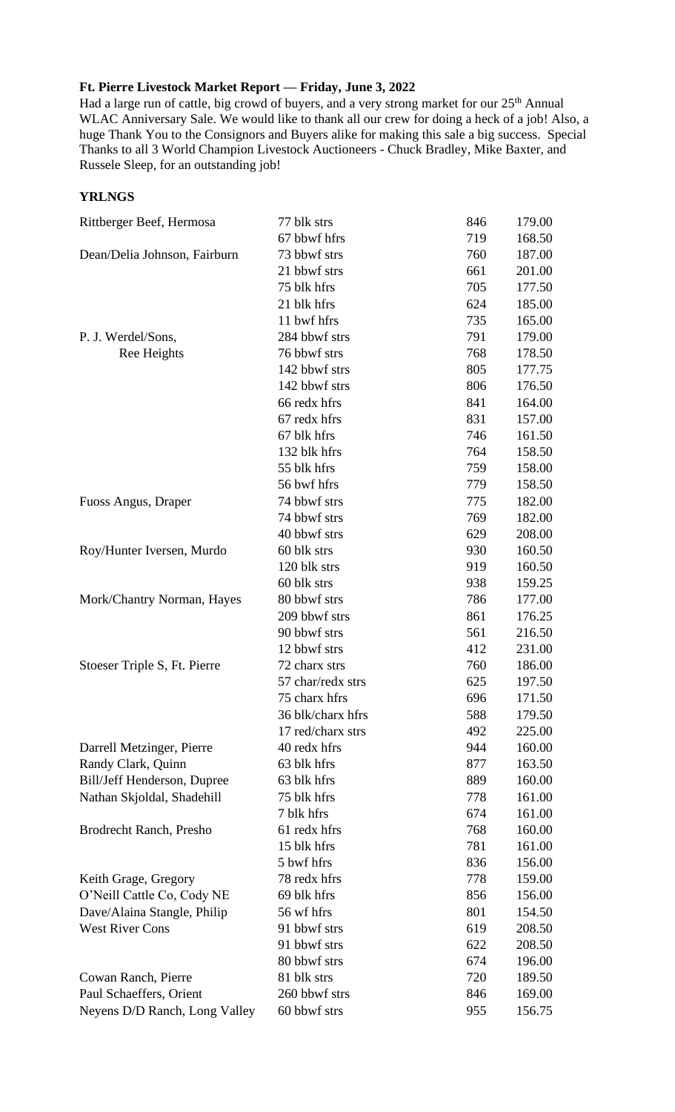## **Ft. Pierre Livestock Market Report –– Friday, June 3, 2022**

Had a large run of cattle, big crowd of buyers, and a very strong market for our 25<sup>th</sup> Annual WLAC Anniversary Sale. We would like to thank all our crew for doing a heck of a job! Also, a huge Thank You to the Consignors and Buyers alike for making this sale a big success. Special Thanks to all 3 World Champion Livestock Auctioneers - Chuck Bradley, Mike Baxter, and Russele Sleep, for an outstanding job!

## **YRLNGS**

| Rittberger Beef, Hermosa       | 77 blk strs       | 846 | 179.00 |
|--------------------------------|-------------------|-----|--------|
|                                | 67 bbwf hfrs      | 719 | 168.50 |
| Dean/Delia Johnson, Fairburn   | 73 bbwf strs      | 760 | 187.00 |
|                                | 21 bbwf strs      | 661 | 201.00 |
|                                | 75 blk hfrs       | 705 | 177.50 |
|                                | 21 blk hfrs       | 624 | 185.00 |
|                                | 11 bwf hfrs       | 735 | 165.00 |
| P. J. Werdel/Sons,             | 284 bbwf strs     | 791 | 179.00 |
| Ree Heights                    | 76 bbwf strs      | 768 | 178.50 |
|                                | 142 bbwf strs     | 805 | 177.75 |
|                                | 142 bbwf strs     | 806 | 176.50 |
|                                | 66 redx hfrs      | 841 | 164.00 |
|                                | 67 redx hfrs      | 831 | 157.00 |
|                                | 67 blk hfrs       | 746 | 161.50 |
|                                | 132 blk hfrs      | 764 | 158.50 |
|                                | 55 blk hfrs       | 759 | 158.00 |
|                                | 56 bwf hfrs       | 779 | 158.50 |
| Fuoss Angus, Draper            | 74 bbwf strs      | 775 | 182.00 |
|                                | 74 bbwf strs      | 769 | 182.00 |
|                                | 40 bbwf strs      | 629 | 208.00 |
| Roy/Hunter Iversen, Murdo      | 60 blk strs       | 930 | 160.50 |
|                                | 120 blk strs      | 919 | 160.50 |
|                                | 60 blk strs       | 938 | 159.25 |
| Mork/Chantry Norman, Hayes     | 80 bbwf strs      | 786 | 177.00 |
|                                | 209 bbwf strs     | 861 | 176.25 |
|                                | 90 bbwf strs      | 561 | 216.50 |
|                                | 12 bbwf strs      | 412 | 231.00 |
| Stoeser Triple S, Ft. Pierre   | 72 charx strs     | 760 | 186.00 |
|                                | 57 char/redx strs | 625 | 197.50 |
|                                | 75 charx hfrs     | 696 | 171.50 |
|                                | 36 blk/charx hfrs | 588 | 179.50 |
|                                | 17 red/charx strs | 492 | 225.00 |
| Darrell Metzinger, Pierre      | 40 redx hfrs      | 944 | 160.00 |
| Randy Clark, Quinn             | 63 blk hfrs       | 877 | 163.50 |
| Bill/Jeff Henderson, Dupree    | 63 blk hfrs       | 889 | 160.00 |
| Nathan Skjoldal, Shadehill     | 75 blk hfrs       | 778 | 161.00 |
|                                | 7 blk hfrs        | 674 | 161.00 |
| <b>Brodrecht Ranch, Presho</b> | 61 redx hfrs      | 768 | 160.00 |
|                                | 15 blk hfrs       | 781 | 161.00 |
|                                | 5 bwf hfrs        | 836 | 156.00 |
| Keith Grage, Gregory           | 78 redx hfrs      | 778 | 159.00 |
| O'Neill Cattle Co, Cody NE     | 69 blk hfrs       | 856 | 156.00 |
| Dave/Alaina Stangle, Philip    | 56 wf hfrs        | 801 | 154.50 |
| <b>West River Cons</b>         | 91 bbwf strs      | 619 | 208.50 |
|                                | 91 bbwf strs      | 622 | 208.50 |
|                                | 80 bbwf strs      | 674 | 196.00 |
| Cowan Ranch, Pierre            | 81 blk strs       | 720 | 189.50 |
| Paul Schaeffers, Orient        | 260 bbwf strs     | 846 | 169.00 |
| Neyens D/D Ranch, Long Valley  | 60 bbwf strs      | 955 | 156.75 |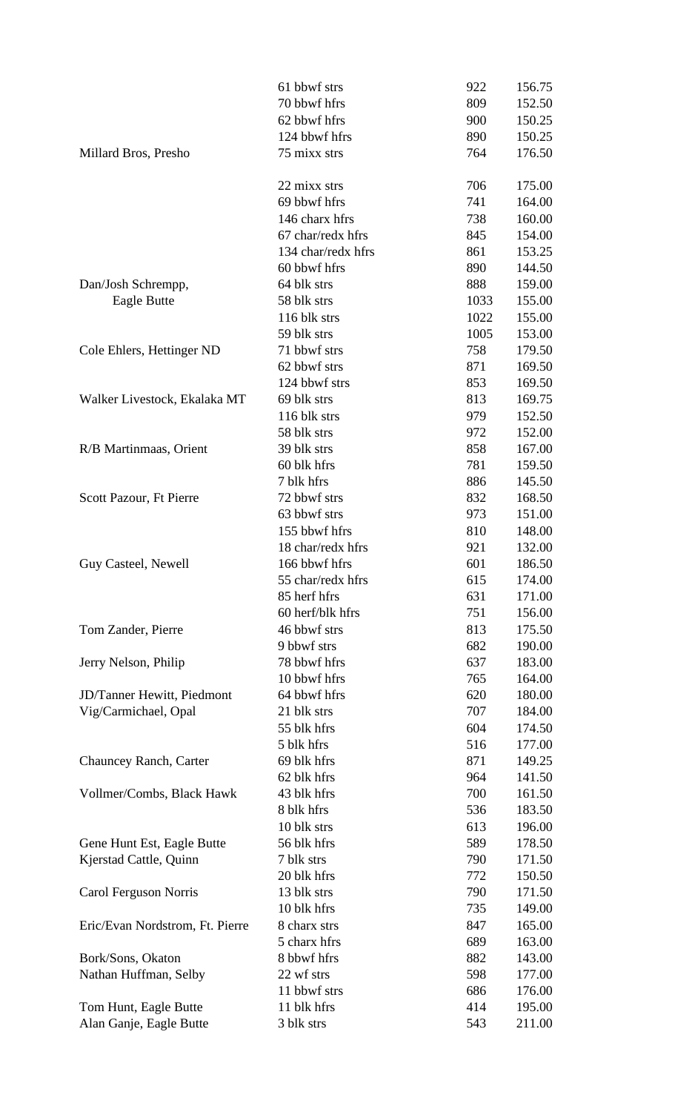|                                 | 61 bbwf strs       | 922  | 156.75 |
|---------------------------------|--------------------|------|--------|
|                                 | 70 bbwf hfrs       | 809  | 152.50 |
|                                 | 62 bbwf hfrs       | 900  | 150.25 |
|                                 | 124 bbwf hfrs      | 890  | 150.25 |
| Millard Bros, Presho            | 75 mixx strs       | 764  | 176.50 |
|                                 | 22 mixx strs       | 706  | 175.00 |
|                                 | 69 bbwf hfrs       | 741  | 164.00 |
|                                 | 146 charx hfrs     | 738  | 160.00 |
|                                 | 67 char/redx hfrs  | 845  | 154.00 |
|                                 | 134 char/redx hfrs | 861  | 153.25 |
|                                 | 60 bbwf hfrs       | 890  | 144.50 |
| Dan/Josh Schrempp,              | 64 blk strs        | 888  | 159.00 |
| Eagle Butte                     | 58 blk strs        | 1033 | 155.00 |
|                                 | 116 blk strs       | 1022 | 155.00 |
|                                 | 59 blk strs        | 1005 | 153.00 |
| Cole Ehlers, Hettinger ND       | 71 bbwf strs       | 758  | 179.50 |
|                                 | 62 bbwf strs       | 871  | 169.50 |
|                                 | 124 bbwf strs      | 853  | 169.50 |
| Walker Livestock, Ekalaka MT    | 69 blk strs        | 813  | 169.75 |
|                                 | 116 blk strs       | 979  | 152.50 |
|                                 | 58 blk strs        | 972  | 152.00 |
| R/B Martinmaas, Orient          | 39 blk strs        | 858  | 167.00 |
|                                 | 60 blk hfrs        | 781  | 159.50 |
|                                 | 7 blk hfrs         | 886  | 145.50 |
| Scott Pazour, Ft Pierre         | 72 bbwf strs       | 832  | 168.50 |
|                                 | 63 bbwf strs       | 973  | 151.00 |
|                                 | 155 bbwf hfrs      | 810  | 148.00 |
|                                 | 18 char/redx hfrs  | 921  | 132.00 |
| Guy Casteel, Newell             | 166 bbwf hfrs      | 601  | 186.50 |
|                                 | 55 char/redx hfrs  | 615  | 174.00 |
|                                 | 85 herf hfrs       | 631  | 171.00 |
|                                 | 60 herf/blk hfrs   | 751  | 156.00 |
| Tom Zander, Pierre              | 46 bbwf strs       | 813  | 175.50 |
|                                 | 9 bbwf strs        | 682  | 190.00 |
| Jerry Nelson, Philip            | 78 bbwf hfrs       | 637  | 183.00 |
|                                 | 10 bbwf hfrs       | 765  | 164.00 |
| JD/Tanner Hewitt, Piedmont      | 64 bbwf hfrs       | 620  | 180.00 |
| Vig/Carmichael, Opal            | 21 blk strs        | 707  | 184.00 |
|                                 | 55 blk hfrs        | 604  | 174.50 |
|                                 | 5 blk hfrs         | 516  | 177.00 |
| Chauncey Ranch, Carter          | 69 blk hfrs        | 871  | 149.25 |
|                                 | 62 blk hfrs        | 964  | 141.50 |
| Vollmer/Combs, Black Hawk       | 43 blk hfrs        | 700  | 161.50 |
|                                 | 8 blk hfrs         | 536  | 183.50 |
|                                 | 10 blk strs        | 613  | 196.00 |
| Gene Hunt Est, Eagle Butte      | 56 blk hfrs        | 589  | 178.50 |
| Kjerstad Cattle, Quinn          | 7 blk strs         | 790  | 171.50 |
|                                 | 20 blk hfrs        | 772  | 150.50 |
| Carol Ferguson Norris           | 13 blk strs        | 790  | 171.50 |
|                                 | 10 blk hfrs        | 735  | 149.00 |
| Eric/Evan Nordstrom, Ft. Pierre | 8 charx strs       | 847  | 165.00 |
|                                 | 5 charx hfrs       | 689  | 163.00 |
| Bork/Sons, Okaton               | 8 bbwf hfrs        | 882  | 143.00 |
| Nathan Huffman, Selby           | 22 wf strs         | 598  | 177.00 |
|                                 | 11 bbwf strs       | 686  | 176.00 |
| Tom Hunt, Eagle Butte           | 11 blk hfrs        | 414  | 195.00 |
| Alan Ganje, Eagle Butte         | 3 blk strs         | 543  | 211.00 |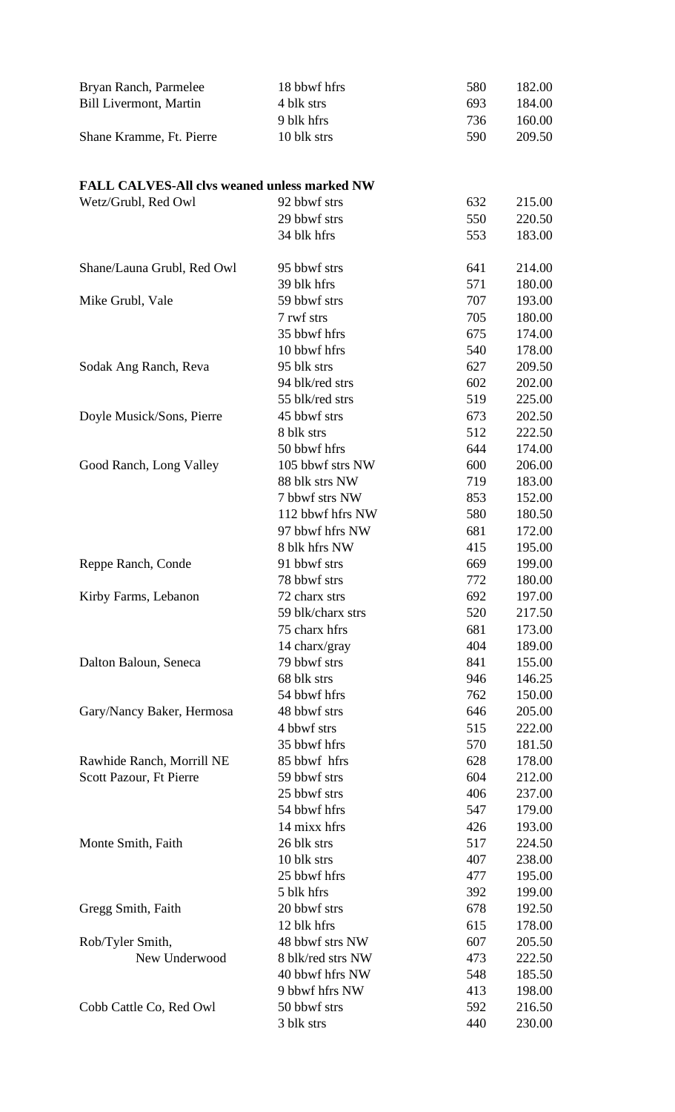| Bryan Ranch, Parmelee                               | 18 bbwf hfrs                 | 580        | 182.00           |
|-----------------------------------------------------|------------------------------|------------|------------------|
| <b>Bill Livermont, Martin</b>                       | 4 blk strs                   | 693        | 184.00           |
|                                                     | 9 blk hfrs                   | 736        | 160.00           |
| Shane Kramme, Ft. Pierre                            | 10 blk strs                  | 590        | 209.50           |
|                                                     |                              |            |                  |
| <b>FALL CALVES-All clvs weaned unless marked NW</b> |                              |            |                  |
| Wetz/Grubl, Red Owl                                 | 92 bbwf strs                 | 632        | 215.00           |
|                                                     | 29 bbwf strs                 | 550        | 220.50           |
|                                                     | 34 blk hfrs                  | 553        | 183.00           |
| Shane/Launa Grubl, Red Owl                          | 95 bbwf strs                 | 641        | 214.00           |
|                                                     | 39 blk hfrs                  | 571        | 180.00           |
| Mike Grubl, Vale                                    | 59 bbwf strs                 | 707        | 193.00           |
|                                                     | 7 rwf strs                   | 705        | 180.00           |
|                                                     | 35 bbwf hfrs                 | 675        | 174.00           |
|                                                     | 10 bbwf hfrs                 | 540        | 178.00           |
| Sodak Ang Ranch, Reva                               | 95 blk strs                  | 627        | 209.50           |
|                                                     | 94 blk/red strs              | 602        | 202.00           |
|                                                     | 55 blk/red strs              | 519        | 225.00           |
| Doyle Musick/Sons, Pierre                           | 45 bbwf strs                 | 673        | 202.50           |
|                                                     | 8 blk strs                   | 512        | 222.50           |
|                                                     | 50 bbwf hfrs                 | 644        | 174.00           |
| Good Ranch, Long Valley                             | 105 bbwf strs NW             | 600        | 206.00           |
|                                                     | 88 blk strs NW               | 719        | 183.00           |
|                                                     | 7 bbwf strs NW               | 853        | 152.00           |
|                                                     | 112 bbwf hfrs NW             | 580        | 180.50           |
|                                                     | 97 bbwf hfrs NW              | 681        | 172.00           |
|                                                     | 8 blk hfrs NW                | 415        | 195.00           |
| Reppe Ranch, Conde                                  | 91 bbwf strs                 | 669        | 199.00           |
|                                                     | 78 bbwf strs                 | 772        | 180.00           |
| Kirby Farms, Lebanon                                | 72 charx strs                | 692        | 197.00           |
|                                                     | 59 blk/charx strs            | 520        | 217.50           |
|                                                     | 75 charx hfrs                | 681        | 173.00           |
|                                                     | 14 charx/gray                | 404        | 189.00           |
| Dalton Baloun, Seneca                               | 79 bbwf strs                 | 841        | 155.00           |
|                                                     | 68 blk strs                  | 946        | 146.25           |
|                                                     | 54 bbwf hfrs                 | 762        | 150.00           |
| Gary/Nancy Baker, Hermosa                           | 48 bbwf strs                 | 646        | 205.00           |
|                                                     | 4 bbwf strs                  | 515        | 222.00           |
|                                                     | 35 bbwf hfrs                 | 570        | 181.50           |
| Rawhide Ranch, Morrill NE                           | 85 bbwf hfrs                 | 628        | 178.00           |
| Scott Pazour, Ft Pierre                             | 59 bbwf strs<br>25 bbwf strs | 604        | 212.00           |
|                                                     | 54 bbwf hfrs                 | 406<br>547 | 237.00<br>179.00 |
|                                                     | 14 mixx hfrs                 | 426        | 193.00           |
| Monte Smith, Faith                                  | 26 blk strs                  | 517        | 224.50           |
|                                                     | 10 blk strs                  | 407        | 238.00           |
|                                                     | 25 bbwf hfrs                 | 477        | 195.00           |
|                                                     | 5 blk hfrs                   | 392        | 199.00           |
|                                                     | 20 bbwf strs                 | 678        | 192.50           |
| Gregg Smith, Faith                                  | 12 blk hfrs                  | 615        | 178.00           |
| Rob/Tyler Smith,                                    | 48 bbwf strs NW              | 607        | 205.50           |
| New Underwood                                       | 8 blk/red strs NW            | 473        | 222.50           |
|                                                     | 40 bbwf hfrs NW              | 548        | 185.50           |
|                                                     | 9 bbwf hfrs NW               | 413        | 198.00           |
| Cobb Cattle Co, Red Owl                             | 50 bbwf strs                 | 592        | 216.50           |
|                                                     | 3 blk strs                   | 440        | 230.00           |
|                                                     |                              |            |                  |